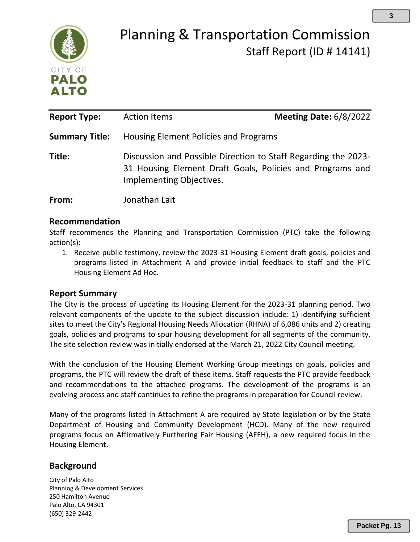

# Planning & Transportation Commission Staff Report (ID # 14141)

| <b>Report Type:</b>   | <b>Action Items</b>                                                                                                                                     | <b>Meeting Date: 6/8/2022</b> |
|-----------------------|---------------------------------------------------------------------------------------------------------------------------------------------------------|-------------------------------|
| <b>Summary Title:</b> | Housing Element Policies and Programs                                                                                                                   |                               |
| Title:                | Discussion and Possible Direction to Staff Regarding the 2023-<br>31 Housing Element Draft Goals, Policies and Programs and<br>Implementing Objectives. |                               |
| From:                 | Jonathan Lait                                                                                                                                           |                               |

#### **Recommendation**

Staff recommends the Planning and Transportation Commission (PTC) take the following action(s):

1. Receive public testimony, review the 2023-31 Housing Element draft goals, policies and programs listed in Attachment A and provide initial feedback to staff and the PTC Housing Element Ad Hoc.

#### **Report Summary**

The City is the process of updating its Housing Element for the 2023-31 planning period. Two relevant components of the update to the subject discussion include: 1) identifying sufficient sites to meet the City's Regional Housing Needs Allocation (RHNA) of 6,086 units and 2) creating goals, policies and programs to spur housing development for all segments of the community. The site selection review was initially endorsed at the March 21, 2022 City Council meeting.

With the conclusion of the Housing Element Working Group meetings on goals, policies and programs, the PTC will review the draft of these items. Staff requests the PTC provide feedback and recommendations to the attached programs. The development of the programs is an evolving process and staff continues to refine the programs in preparation for Council review.

Many of the programs listed in Attachment A are required by State legislation or by the State Department of Housing and Community Development (HCD). Many of the new required programs focus on Affirmatively Furthering Fair Housing (AFFH), a new required focus in the Housing Element.

#### **Background**

City of Palo Alto Planning & Development Services 250 Hamilton Avenue Palo Alto, CA 94301 (650) 329-2442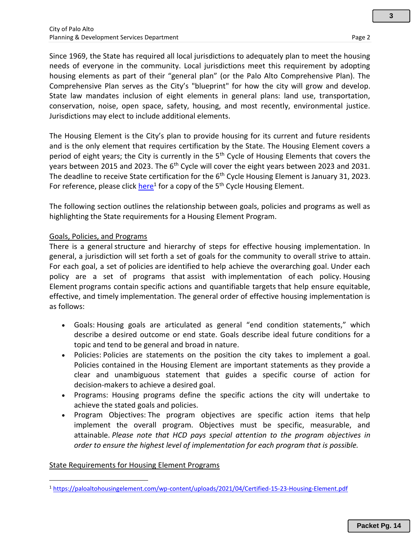Since 1969, the State has required all local jurisdictions to adequately plan to meet the housing needs of everyone in the community. Local jurisdictions meet this requirement by adopting housing elements as part of their "general plan" (or the Palo Alto Comprehensive Plan). The Comprehensive Plan serves as the City's "blueprint" for how the city will grow and develop. State law mandates inclusion of eight elements in general plans: land use, transportation, conservation, noise, open space, safety, housing, and most recently, environmental justice. Jurisdictions may elect to include additional elements.

The Housing Element is the City's plan to provide housing for its current and future residents and is the only element that requires certification by the State. The Housing Element covers a period of eight years; the City is currently in the 5<sup>th</sup> Cycle of Housing Elements that covers the years between 2015 and 2023. The  $6<sup>th</sup>$  Cycle will cover the eight years between 2023 and 2031. The deadline to receive State certification for the 6<sup>th</sup> Cycle Housing Element is January 31, 2023. For reference, please click *here*<sup>1</sup> for a copy of the 5<sup>th</sup> Cycle Housing Element.

The following section outlines the relationship between goals, policies and programs as well as highlighting the State requirements for a Housing Element Program.

#### Goals, Policies, and Programs

There is a general structure and hierarchy of steps for effective housing implementation. In general, a jurisdiction will set forth a set of goals for the community to overall strive to attain. For each goal, a set of policies are identified to help achieve the overarching goal. Under each policy are a set of programs that assist with implementation of each policy. Housing Element programs contain specific actions and quantifiable targets that help ensure equitable, effective, and timely implementation. The general order of effective housing implementation is as follows:

- Goals: Housing goals are articulated as general "end condition statements," which describe a desired outcome or end state. Goals describe ideal future conditions for a topic and tend to be general and broad in nature.
- Policies: Policies are statements on the position the city takes to implement a goal. Policies contained in the Housing Element are important statements as they provide a clear and unambiguous statement that guides a specific course of action for decision‐makers to achieve a desired goal.
- Programs:  Housing programs define the specific actions the city will undertake to achieve the stated goals and policies.
- Program Objectives: The program objectives are specific action items that help implement the overall program. Objectives must be specific, measurable, and attainable. *Please note that HCD pays special attention to the program objectives in order to ensure the highest level of implementation for each program that is possible.*

#### State Requirements for Housing Element Programs

<sup>1</sup> <https://paloaltohousingelement.com/wp-content/uploads/2021/04/Certified-15-23-Housing-Element.pdf>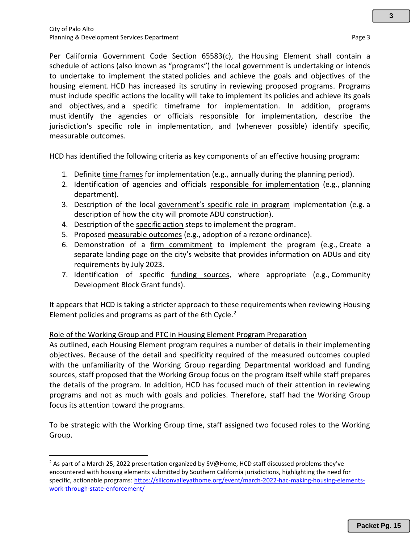**3**

Per California Government Code Section 65583(c), the Housing Element shall contain a schedule of actions (also known as "programs") the local government is undertaking or intends to undertake to implement the stated policies and achieve the goals and objectives of the housing element. HCD has increased its scrutiny in reviewing proposed programs. Programs must include specific actions the locality will take to implement its policies and achieve its goals and objectives, and a specific timeframe for implementation. In addition, programs must identify the agencies or officials responsible for implementation, describe the jurisdiction's specific role in implementation, and (whenever possible) identify specific, measurable outcomes.

HCD has identified the following criteria as key components of an effective housing program:  

- 1. Definite time frames for implementation (e.g., annually during the planning period).
- 2. Identification of agencies and officials responsible for implementation (e.g., planning department).
- 3. Description of the local government's specific role in program implementation (e.g. a description of how the city will promote ADU construction).
- 4. Description of the specific action steps to implement the program.
- 5. Proposed measurable outcomes (e.g., adoption of a rezone ordinance).
- 6. Demonstration of a firm commitment to implement the program (e.g., Create a separate landing page on the city's website that provides information on ADUs and city requirements by July 2023.
- 7. Identification of specific funding sources, where appropriate (e.g., Community Development Block Grant funds).

It appears that HCD is taking a stricter approach to these requirements when reviewing Housing Element policies and programs as part of the 6th Cycle. $<sup>2</sup>$ </sup>

#### Role of the Working Group and PTC in Housing Element Program Preparation

As outlined, each Housing Element program requires a number of details in their implementing objectives. Because of the detail and specificity required of the measured outcomes coupled with the unfamiliarity of the Working Group regarding Departmental workload and funding sources, staff proposed that the Working Group focus on the program itself while staff prepares the details of the program. In addition, HCD has focused much of their attention in reviewing programs and not as much with goals and policies. Therefore, staff had the Working Group focus its attention toward the programs.

To be strategic with the Working Group time, staff assigned two focused roles to the Working Group.

<sup>&</sup>lt;sup>2</sup> As part of a March 25, 2022 presentation organized by SV@Home, HCD staff discussed problems they've encountered with housing elements submitted by Southern California jurisdictions, highlighting the need for specific, actionable programs[: https://siliconvalleyathome.org/event/march-2022-hac-making-housing-elements](https://siliconvalleyathome.org/event/march-2022-hac-making-housing-elements-work-through-state-enforcement/)[work-through-state-enforcement/](https://siliconvalleyathome.org/event/march-2022-hac-making-housing-elements-work-through-state-enforcement/)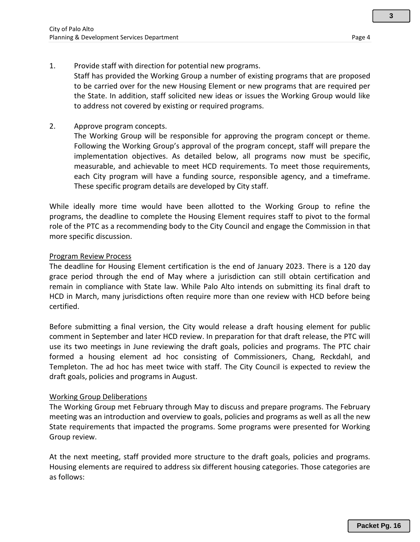**3**

#### 1. Provide staff with direction for potential new programs.

Staff has provided the Working Group a number of existing programs that are proposed to be carried over for the new Housing Element or new programs that are required per the State. In addition, staff solicited new ideas or issues the Working Group would like to address not covered by existing or required programs.

2. Approve program concepts.

The Working Group will be responsible for approving the program concept or theme. Following the Working Group's approval of the program concept, staff will prepare the implementation objectives. As detailed below, all programs now must be specific, measurable, and achievable to meet HCD requirements. To meet those requirements, each City program will have a funding source, responsible agency, and a timeframe. These specific program details are developed by City staff.

While ideally more time would have been allotted to the Working Group to refine the programs, the deadline to complete the Housing Element requires staff to pivot to the formal role of the PTC as a recommending body to the City Council and engage the Commission in that more specific discussion.

#### Program Review Process

The deadline for Housing Element certification is the end of January 2023. There is a 120 day grace period through the end of May where a jurisdiction can still obtain certification and remain in compliance with State law. While Palo Alto intends on submitting its final draft to HCD in March, many jurisdictions often require more than one review with HCD before being certified.

Before submitting a final version, the City would release a draft housing element for public comment in September and later HCD review. In preparation for that draft release, the PTC will use its two meetings in June reviewing the draft goals, policies and programs. The PTC chair formed a housing element ad hoc consisting of Commissioners, Chang, Reckdahl, and Templeton. The ad hoc has meet twice with staff. The City Council is expected to review the draft goals, policies and programs in August.

#### Working Group Deliberations

The Working Group met February through May to discuss and prepare programs. The February meeting was an introduction and overview to goals, policies and programs as well as all the new State requirements that impacted the programs. Some programs were presented for Working Group review.

At the next meeting, staff provided more structure to the draft goals, policies and programs. Housing elements are required to address six different housing categories. Those categories are as follows: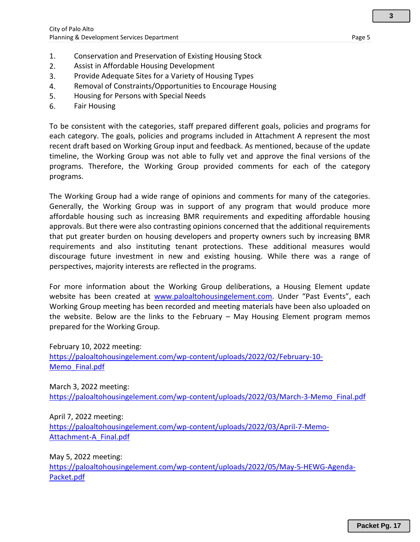- 1. Conservation and Preservation of Existing Housing Stock
- 2. Assist in Affordable Housing Development
- 3. Provide Adequate Sites for a Variety of Housing Types
- 4. Removal of Constraints/Opportunities to Encourage Housing
- 5. Housing for Persons with Special Needs
- 6. Fair Housing

To be consistent with the categories, staff prepared different goals, policies and programs for each category. The goals, policies and programs included in Attachment A represent the most recent draft based on Working Group input and feedback. As mentioned, because of the update timeline, the Working Group was not able to fully vet and approve the final versions of the programs. Therefore, the Working Group provided comments for each of the category programs.

The Working Group had a wide range of opinions and comments for many of the categories. Generally, the Working Group was in support of any program that would produce more affordable housing such as increasing BMR requirements and expediting affordable housing approvals. But there were also contrasting opinions concerned that the additional requirements that put greater burden on housing developers and property owners such by increasing BMR requirements and also instituting tenant protections. These additional measures would discourage future investment in new and existing housing. While there was a range of perspectives, majority interests are reflected in the programs.

For more information about the Working Group deliberations, a Housing Element update website has been created at [www.paloaltohousingelement.com.](http://www.paloaltohousingelement.com/) Under "Past Events", each Working Group meeting has been recorded and meeting materials have been also uploaded on the website. Below are the links to the February – May Housing Element program memos prepared for the Working Group.

February 10, 2022 meeting: [https://paloaltohousingelement.com/wp-content/uploads/2022/02/February-10-](https://paloaltohousingelement.com/wp-content/uploads/2022/02/February-10-Memo_Final.pdf) [Memo\\_Final.pdf](https://paloaltohousingelement.com/wp-content/uploads/2022/02/February-10-Memo_Final.pdf)

March 3, 2022 meeting: [https://paloaltohousingelement.com/wp-content/uploads/2022/03/March-3-Memo\\_Final.pdf](https://paloaltohousingelement.com/wp-content/uploads/2022/03/March-3-Memo_Final.pdf)

April 7, 2022 meeting: [https://paloaltohousingelement.com/wp-content/uploads/2022/03/April-7-Memo-](https://paloaltohousingelement.com/wp-content/uploads/2022/03/April-7-Memo-Attachment-A_Final.pdf)[Attachment-A\\_Final.pdf](https://paloaltohousingelement.com/wp-content/uploads/2022/03/April-7-Memo-Attachment-A_Final.pdf)

May 5, 2022 meeting:

[https://paloaltohousingelement.com/wp-content/uploads/2022/05/May-5-HEWG-Agenda-](https://paloaltohousingelement.com/wp-content/uploads/2022/05/May-5-HEWG-Agenda-Packet.pdf)[Packet.pdf](https://paloaltohousingelement.com/wp-content/uploads/2022/05/May-5-HEWG-Agenda-Packet.pdf)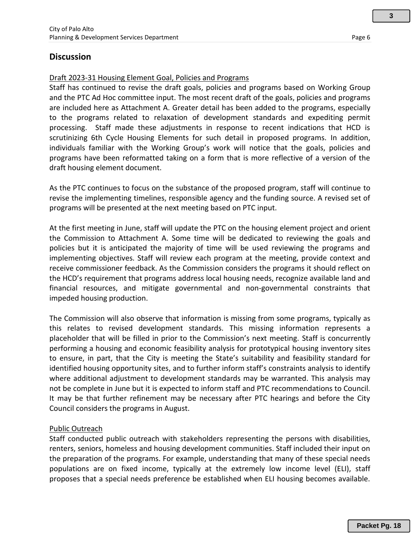Staff has continued to revise the draft goals, policies and programs based on Working Group and the PTC Ad Hoc committee input. The most recent draft of the goals, policies and programs are included here as Attachment A. Greater detail has been added to the programs, especially to the programs related to relaxation of development standards and expediting permit processing. Staff made these adjustments in response to recent indications that HCD is scrutinizing 6th Cycle Housing Elements for such detail in proposed programs. In addition, individuals familiar with the Working Group's work will notice that the goals, policies and programs have been reformatted taking on a form that is more reflective of a version of the draft housing element document.

As the PTC continues to focus on the substance of the proposed program, staff will continue to revise the implementing timelines, responsible agency and the funding source. A revised set of programs will be presented at the next meeting based on PTC input.

At the first meeting in June, staff will update the PTC on the housing element project and orient the Commission to Attachment A. Some time will be dedicated to reviewing the goals and policies but it is anticipated the majority of time will be used reviewing the programs and implementing objectives. Staff will review each program at the meeting, provide context and receive commissioner feedback. As the Commission considers the programs it should reflect on the HCD's requirement that programs address local housing needs, recognize available land and financial resources, and mitigate governmental and non-governmental constraints that impeded housing production.

The Commission will also observe that information is missing from some programs, typically as this relates to revised development standards. This missing information represents a placeholder that will be filled in prior to the Commission's next meeting. Staff is concurrently performing a housing and economic feasibility analysis for prototypical housing inventory sites to ensure, in part, that the City is meeting the State's suitability and feasibility standard for identified housing opportunity sites, and to further inform staff's constraints analysis to identify where additional adjustment to development standards may be warranted. This analysis may not be complete in June but it is expected to inform staff and PTC recommendations to Council. It may be that further refinement may be necessary after PTC hearings and before the City Council considers the programs in August.

#### Public Outreach

Staff conducted public outreach with stakeholders representing the persons with disabilities, renters, seniors, homeless and housing development communities. Staff included their input on the preparation of the programs. For example, understanding that many of these special needs populations are on fixed income, typically at the extremely low income level (ELI), staff proposes that a special needs preference be established when ELI housing becomes available.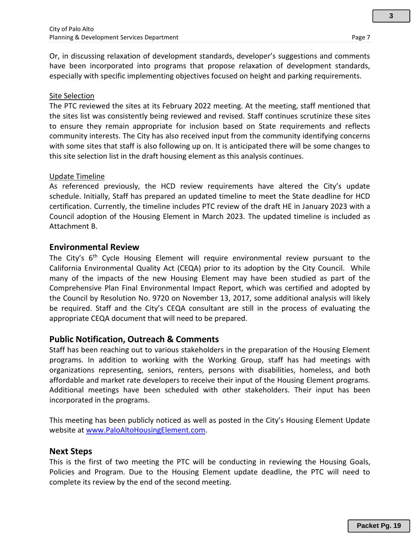**3**

Or, in discussing relaxation of development standards, developer's suggestions and comments have been incorporated into programs that propose relaxation of development standards, especially with specific implementing objectives focused on height and parking requirements.

#### Site Selection

The PTC reviewed the sites at its February 2022 meeting. At the meeting, staff mentioned that the sites list was consistently being reviewed and revised. Staff continues scrutinize these sites to ensure they remain appropriate for inclusion based on State requirements and reflects community interests. The City has also received input from the community identifying concerns with some sites that staff is also following up on. It is anticipated there will be some changes to this site selection list in the draft housing element as this analysis continues.

#### Update Timeline

As referenced previously, the HCD review requirements have altered the City's update schedule. Initially, Staff has prepared an updated timeline to meet the State deadline for HCD certification. Currently, the timeline includes PTC review of the draft HE in January 2023 with a Council adoption of the Housing Element in March 2023. The updated timeline is included as Attachment B.

#### **Environmental Review**

The City's 6<sup>th</sup> Cycle Housing Element will require environmental review pursuant to the California Environmental Quality Act (CEQA) prior to its adoption by the City Council. While many of the impacts of the new Housing Element may have been studied as part of the Comprehensive Plan Final Environmental Impact Report, which was certified and adopted by the Council by Resolution No. 9720 on November 13, 2017, some additional analysis will likely be required. Staff and the City's CEQA consultant are still in the process of evaluating the appropriate CEQA document that will need to be prepared.

#### **Public Notification, Outreach & Comments**

Staff has been reaching out to various stakeholders in the preparation of the Housing Element programs. In addition to working with the Working Group, staff has had meetings with organizations representing, seniors, renters, persons with disabilities, homeless, and both affordable and market rate developers to receive their input of the Housing Element programs. Additional meetings have been scheduled with other stakeholders. Their input has been incorporated in the programs.

This meeting has been publicly noticed as well as posted in the City's Housing Element Update website at [www.PaloAltoHousingElement.com.](http://www.paloaltohousingelement.com/)

#### **Next Steps**

This is the first of two meeting the PTC will be conducting in reviewing the Housing Goals, Policies and Program. Due to the Housing Element update deadline, the PTC will need to complete its review by the end of the second meeting.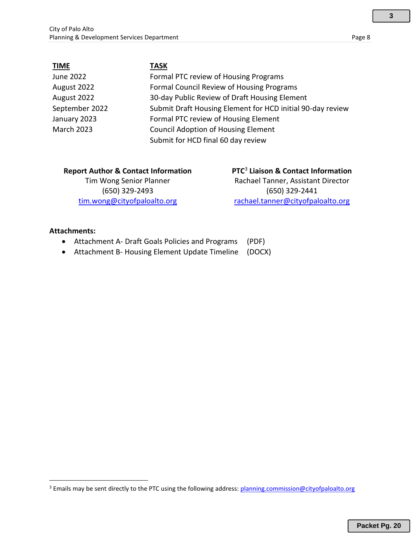| <b>TIME</b>       | <b>TASK</b>                                                |
|-------------------|------------------------------------------------------------|
| June 2022         | Formal PTC review of Housing Programs                      |
| August 2022       | Formal Council Review of Housing Programs                  |
| August 2022       | 30-day Public Review of Draft Housing Element              |
| September 2022    | Submit Draft Housing Element for HCD initial 90-day review |
| January 2023      | Formal PTC review of Housing Element                       |
| <b>March 2023</b> | <b>Council Adoption of Housing Element</b>                 |
|                   | Submit for HCD final 60 day review                         |

| <b>Report Author &amp; Contact Information</b> | PTC <sup>3</sup> Liaison & Contact Information |
|------------------------------------------------|------------------------------------------------|
| Tim Wong Senior Planner                        | Rachael Tanner, Assistant Director             |
| (650) 329-2493                                 | (650) 329-2441                                 |
| tim.wong@cityofpaloalto.org                    | rachael.tanner@cityofpaloalto.org              |

#### **Attachments:**

- Attachment A- Draft Goals Policies and Programs (PDF)
- Attachment B- Housing Element Update Timeline (DOCX)

<sup>&</sup>lt;sup>3</sup> Emails may be sent directly to the PTC using the following address[: planning.commission@cityofpaloalto.org](mailto:planning.commission@cityofpaloalto.org)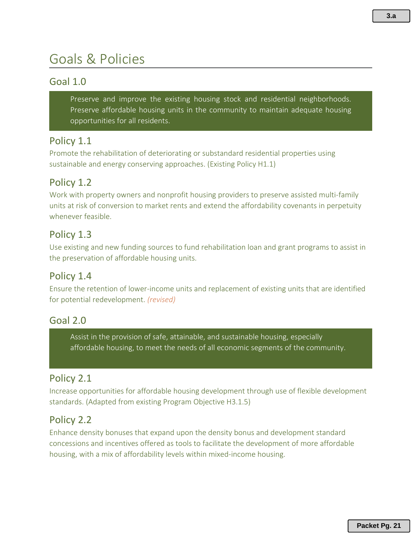# Goals & Policies

## Goal 1.0

Preserve and improve the existing housing stock and residential neighborhoods. Preserve affordable housing units in the community to maintain adequate housing opportunities for all residents.

#### Policy 1.1

Promote the rehabilitation of deteriorating or substandard residential properties using sustainable and energy conserving approaches. (Existing Policy H1.1)

## Policy 1.2

Work with property owners and nonprofit housing providers to preserve assisted multi-family units at risk of conversion to market rents and extend the affordability covenants in perpetuity whenever feasible.

#### Policy 1.3

Use existing and new funding sources to fund rehabilitation loan and grant programs to assist in the preservation of affordable housing units.

#### Policy 1.4

Ensure the retention of lower-income units and replacement of existing units that are identified for potential redevelopment. *(revised)*

#### Goal 2.0

Assist in the provision of safe, attainable, and sustainable housing, especially affordable housing, to meet the needs of all economic segments of the community.

#### Policy 2.1

Increase opportunities for affordable housing development through use of flexible development standards. (Adapted from existing Program Objective H3.1.5)

#### Policy 2.2

Enhance density bonuses that expand upon the density bonus and development standard concessions and incentives offered as tools to facilitate the development of more affordable housing, with a mix of affordability levels within mixed-income housing.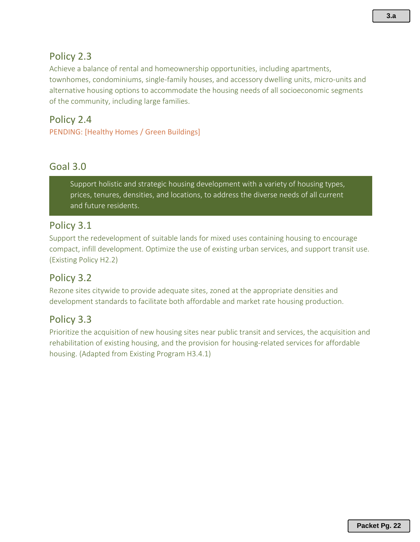## Policy 2.3

Achieve a balance of rental and homeownership opportunities, including apartments, townhomes, condominiums, single-family houses, and accessory dwelling units, micro-units and alternative housing options to accommodate the housing needs of all socioeconomic segments of the community, including large families.

## Policy 2.4

PENDING: [Healthy Homes / Green Buildings]

#### Goal 3.0

Support holistic and strategic housing development with a variety of housing types, prices, tenures, densities, and locations, to address the diverse needs of all current and future residents.

#### Policy 3.1

Support the redevelopment of suitable lands for mixed uses containing housing to encourage compact, infill development. Optimize the use of existing urban services, and support transit use. (Existing Policy H2.2)

#### Policy 3.2

Rezone sites citywide to provide adequate sites, zoned at the appropriate densities and development standards to facilitate both affordable and market rate housing production.

## Policy 3.3

Prioritize the acquisition of new housing sites near public transit and services, the acquisition and rehabilitation of existing housing, and the provision for housing-related services for affordable housing. (Adapted from Existing Program H3.4.1)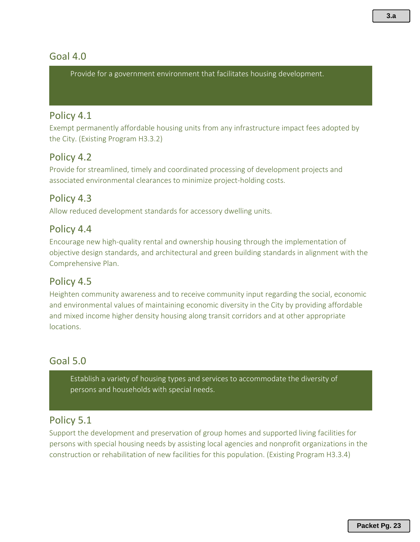## Goal 4.0

Provide for a government environment that facilitates housing development.

#### Policy 4.1

Exempt permanently affordable housing units from any infrastructure impact fees adopted by the City. (Existing Program H3.3.2)

## Policy 4.2

Provide for streamlined, timely and coordinated processing of development projects and associated environmental clearances to minimize project-holding costs.

## Policy 4.3

Allow reduced development standards for accessory dwelling units.

#### Policy 4.4

Encourage new high-quality rental and ownership housing through the implementation of objective design standards, and architectural and green building standards in alignment with the Comprehensive Plan.

#### Policy 4.5

Heighten community awareness and to receive community input regarding the social, economic and environmental values of maintaining economic diversity in the City by providing affordable and mixed income higher density housing along transit corridors and at other appropriate locations.

## Goal 5.0

Establish a variety of housing types and services to accommodate the diversity of persons and households with special needs.

#### Policy 5.1

Support the development and preservation of group homes and supported living facilities for persons with special housing needs by assisting local agencies and nonprofit organizations in the construction or rehabilitation of new facilities for this population. (Existing Program H3.3.4)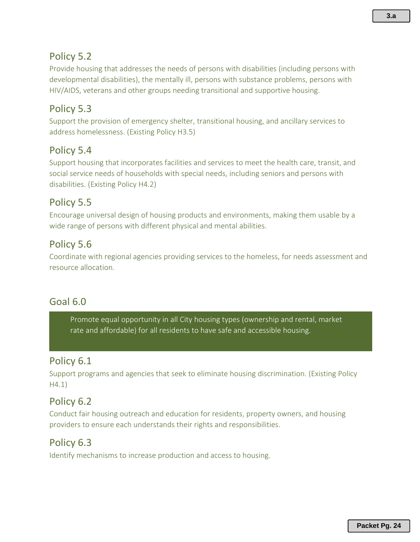## Policy 5.2

Provide housing that addresses the needs of persons with disabilities (including persons with developmental disabilities), the mentally ill, persons with substance problems, persons with HIV/AIDS, veterans and other groups needing transitional and supportive housing.

## Policy 5.3

Support the provision of emergency shelter, transitional housing, and ancillary services to address homelessness. (Existing Policy H3.5)

## Policy 5.4

Support housing that incorporates facilities and services to meet the health care, transit, and social service needs of households with special needs, including seniors and persons with disabilities. (Existing Policy H4.2)

## Policy 5.5

Encourage universal design of housing products and environments, making them usable by a wide range of persons with different physical and mental abilities.

#### Policy 5.6

Coordinate with regional agencies providing services to the homeless, for needs assessment and resource allocation.

## Goal 6.0

Promote equal opportunity in all City housing types (ownership and rental, market rate and affordable) for all residents to have safe and accessible housing.

## Policy 6.1

Support programs and agencies that seek to eliminate housing discrimination. (Existing Policy H4.1)

## Policy 6.2

Conduct fair housing outreach and education for residents, property owners, and housing providers to ensure each understands their rights and responsibilities.

#### Policy 6.3

Identify mechanisms to increase production and access to housing.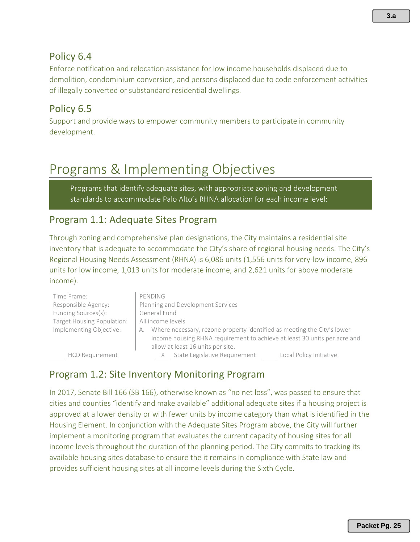## Policy 6.4

Enforce notification and relocation assistance for low income households displaced due to demolition, condominium conversion, and persons displaced due to code enforcement activities of illegally converted or substandard residential dwellings.

## Policy 6.5

Support and provide ways to empower community members to participate in community development.

# Programs & Implementing Objectives

Programs that identify adequate sites, with appropriate zoning and development standards to accommodate Palo Alto's RHNA allocation for each income level:

#### Program 1.1: Adequate Sites Program

Through zoning and comprehensive plan designations, the City maintains a residential site inventory that is adequate to accommodate the City's share of regional housing needs. The City's Regional Housing Needs Assessment (RHNA) is 6,086 units (1,556 units for very-low income, 896 units for low income, 1,013 units for moderate income, and 2,621 units for above moderate income).

| Time Frame:                | PENDING                                                                                                                                                                                          |
|----------------------------|--------------------------------------------------------------------------------------------------------------------------------------------------------------------------------------------------|
| Responsible Agency:        | Planning and Development Services                                                                                                                                                                |
| Funding Sources(s):        | General Fund                                                                                                                                                                                     |
| Target Housing Population: | All income levels                                                                                                                                                                                |
| Implementing Objective:    | Where necessary, rezone property identified as meeting the City's lower-<br>А.<br>income housing RHNA requirement to achieve at least 30 units per acre and<br>allow at least 16 units per site. |
| <b>HCD Requirement</b>     | State Legislative Requirement<br>Local Policy Initiative                                                                                                                                         |

## Program 1.2: Site Inventory Monitoring Program

In 2017, Senate Bill 166 (SB 166), otherwise known as "no net loss", was passed to ensure that cities and counties "identify and make available" additional adequate sites if a housing project is approved at a lower density or with fewer units by income category than what is identified in the Housing Element. In conjunction with the Adequate Sites Program above, the City will further implement a monitoring program that evaluates the current capacity of housing sites for all income levels throughout the duration of the planning period. The City commits to tracking its available housing sites database to ensure the it remains in compliance with State law and provides sufficient housing sites at all income levels during the Sixth Cycle.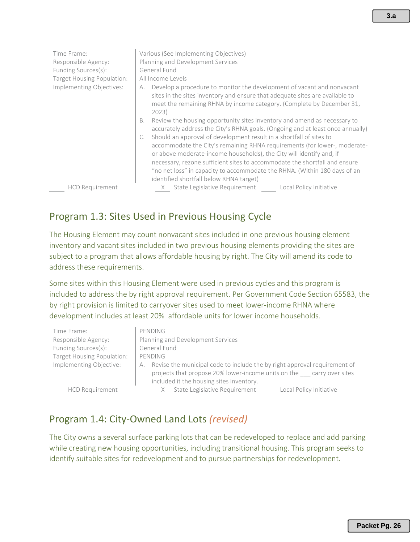| Time Frame:<br>Responsible Agency:<br>Funding Sources(s): | Various (See Implementing Objectives)<br>Planning and Development Services<br>General Fund                                                                                                                                                                                                                                                              |
|-----------------------------------------------------------|---------------------------------------------------------------------------------------------------------------------------------------------------------------------------------------------------------------------------------------------------------------------------------------------------------------------------------------------------------|
| Target Housing Population:                                | All Income Levels                                                                                                                                                                                                                                                                                                                                       |
| Implementing Objectives:                                  | Develop a procedure to monitor the development of vacant and nonvacant<br>А.<br>sites in the sites inventory and ensure that adequate sites are available to<br>meet the remaining RHNA by income category. (Complete by December 31,<br>2023)                                                                                                          |
|                                                           | Review the housing opportunity sites inventory and amend as necessary to<br>В.<br>accurately address the City's RHNA goals. (Ongoing and at least once annually)                                                                                                                                                                                        |
|                                                           | Should an approval of development result in a shortfall of sites to                                                                                                                                                                                                                                                                                     |
|                                                           | accommodate the City's remaining RHNA requirements (for lower-, moderate-<br>or above moderate-income households), the City will identify and, if<br>necessary, rezone sufficient sites to accommodate the shortfall and ensure<br>"no net loss" in capacity to accommodate the RHNA. (Within 180 days of an<br>identified shortfall below RHNA target) |
| <b>HCD Requirement</b>                                    | State Legislative Requirement<br>Local Policy Initiative                                                                                                                                                                                                                                                                                                |

## Program 1.3: Sites Used in Previous Housing Cycle

The Housing Element may count nonvacant sites included in one previous housing element inventory and vacant sites included in two previous housing elements providing the sites are subject to a program that allows affordable housing by right. The City will amend its code to address these requirements.

Some sites within this Housing Element were used in previous cycles and this program is included to address the by right approval requirement. Per Government Code Section 65583, the by right provision is limited to carryover sites used to meet lower-income RHNA where development includes at least 20% affordable units for lower income households.

| Time Frame:                | PENDING                                                                                                                                                 |  |
|----------------------------|---------------------------------------------------------------------------------------------------------------------------------------------------------|--|
| Responsible Agency:        | Planning and Development Services                                                                                                                       |  |
| Funding Sources(s):        | General Fund                                                                                                                                            |  |
| Target Housing Population: | PENDING                                                                                                                                                 |  |
| Implementing Objective:    | Revise the municipal code to include the by right approval requirement of<br>А.<br>projects that propose 20% lower-income units on the carry over sites |  |
|                            | included it the housing sites inventory.                                                                                                                |  |
| <b>HCD Requirement</b>     | State Legislative Requirement<br>Local Policy Initiative                                                                                                |  |

## Program 1.4: City-Owned Land Lots *(revised)*

The City owns a several surface parking lots that can be redeveloped to replace and add parking while creating new housing opportunities, including transitional housing. This program seeks to identify suitable sites for redevelopment and to pursue partnerships for redevelopment.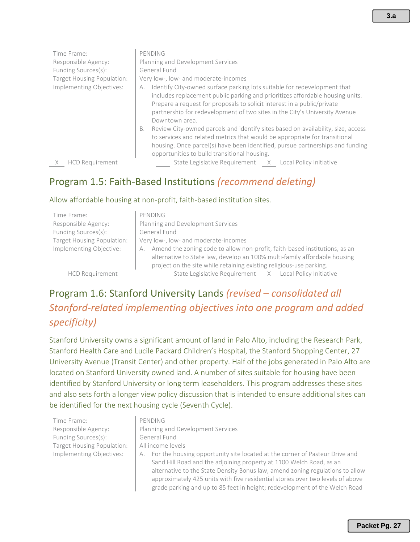| Time Frame:<br>Responsible Agency:<br>Funding Sources(s):<br>Target Housing Population: | PENDING<br>Planning and Development Services<br>General Fund<br>Very low-, low- and moderate-incomes                                                                                                                                                                                                                                       |
|-----------------------------------------------------------------------------------------|--------------------------------------------------------------------------------------------------------------------------------------------------------------------------------------------------------------------------------------------------------------------------------------------------------------------------------------------|
| Implementing Objectives:                                                                | Identify City-owned surface parking lots suitable for redevelopment that<br>А.<br>includes replacement public parking and prioritizes affordable housing units.<br>Prepare a request for proposals to solicit interest in a public/private<br>partnership for redevelopment of two sites in the City's University Avenue<br>Downtown area. |
|                                                                                         | Review City-owned parcels and identify sites based on availability, size, access<br>В.<br>to services and related metrics that would be appropriate for transitional<br>housing. Once parcel(s) have been identified, pursue partnerships and funding<br>opportunities to build transitional housing.                                      |
| <b>HCD Requirement</b>                                                                  | State Legislative Requirement<br>Local Policy Initiative<br>$\times$                                                                                                                                                                                                                                                                       |

## Program 1.5: Faith-Based Institutions *(recommend deleting)*

#### Allow affordable housing at non-profit, faith-based institution sites.

| Time Frame:                | PENDING                                                                                                                                                                                                                              |
|----------------------------|--------------------------------------------------------------------------------------------------------------------------------------------------------------------------------------------------------------------------------------|
| Responsible Agency:        | Planning and Development Services                                                                                                                                                                                                    |
| Funding Sources(s):        | General Fund                                                                                                                                                                                                                         |
| Target Housing Population: | Very low-, low- and moderate-incomes                                                                                                                                                                                                 |
| Implementing Objective:    | Amend the zoning code to allow non-profit, faith-based institutions, as an<br>А.<br>alternative to State law, develop an 100% multi-family affordable housing<br>project on the site while retaining existing religious-use parking. |
| <b>HCD Requirement</b>     | State Legislative Requirement X Local Policy Initiative                                                                                                                                                                              |

## Program 1.6: Stanford University Lands *(revised – consolidated all Stanford-related implementing objectives into one program and added specificity)*

Stanford University owns a significant amount of land in Palo Alto, including the Research Park, Stanford Health Care and Lucile Packard Children's Hospital, the Stanford Shopping Center, 27 University Avenue (Transit Center) and other property. Half of the jobs generated in Palo Alto are located on Stanford University owned land. A number of sites suitable for housing have been identified by Stanford University or long term leaseholders. This program addresses these sites and also sets forth a longer view policy discussion that is intended to ensure additional sites can be identified for the next housing cycle (Seventh Cycle).

Time Frame: PENDING Funding Sources(s): General Fund Target Housing Population: | All income levels

- Responsible Agency: Planning and Development Services
- Implementing Objectives: | A. For the housing opportunity site located at the corner of Pasteur Drive and Sand Hill Road and the adjoining property at 1100 Welch Road, as an alternative to the State Density Bonus law, amend zoning regulations to allow approximately 425 units with five residential stories over two levels of above grade parking and up to 85 feet in height; redevelopment of the Welch Road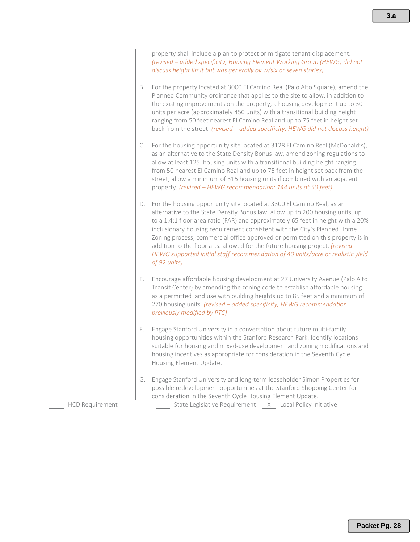property shall include a plan to protect or mitigate tenant displacement. *(revised – added specificity, Housing Element Working Group (HEWG) did not discuss height limit but was generally ok w/six or seven stories)*

- B. For the property located at 3000 El Camino Real (Palo Alto Square), amend the Planned Community ordinance that applies to the site to allow, in addition to the existing improvements on the property, a housing development up to 30 units per acre (approximately 450 units) with a transitional building height ranging from 50 feet nearest El Camino Real and up to 75 feet in height set back from the street. *(revised – added specificity, HEWG did not discuss height)*
- C. For the housing opportunity site located at 3128 El Camino Real (McDonald's), as an alternative to the State Density Bonus law, amend zoning regulations to allow at least 125 housing units with a transitional building height ranging from 50 nearest El Camino Real and up to 75 feet in height set back from the street; allow a minimum of 315 housing units if combined with an adjacent property. *(revised – HEWG recommendation: 144 units at 50 feet)*
- D. For the housing opportunity site located at 3300 El Camino Real, as an alternative to the State Density Bonus law, allow up to 200 housing units, up to a 1.4:1 floor area ratio (FAR) and approximately 65 feet in height with a 20% inclusionary housing requirement consistent with the City's Planned Home Zoning process; commercial office approved or permitted on this property is in addition to the floor area allowed for the future housing project. *(revised – HEWG supported initial staff recommendation of 40 units/acre or realistic yield of 92 units)*
- E. Encourage affordable housing development at 27 University Avenue (Palo Alto Transit Center) by amending the zoning code to establish affordable housing as a permitted land use with building heights up to 85 feet and a minimum of 270 housing units. *(revised – added specificity, HEWG recommendation previously modified by PTC)*
- F. Engage Stanford University in a conversation about future multi-family housing opportunities within the Stanford Research Park. Identify locations suitable for housing and mixed-use development and zoning modifications and housing incentives as appropriate for consideration in the Seventh Cycle Housing Element Update.
- G. Engage Stanford University and long-term leaseholder Simon Properties for possible redevelopment opportunities at the Stanford Shopping Center for consideration in the Seventh Cycle Housing Element Update. HCD Requirement State Legislative Requirement X Local Policy Initiative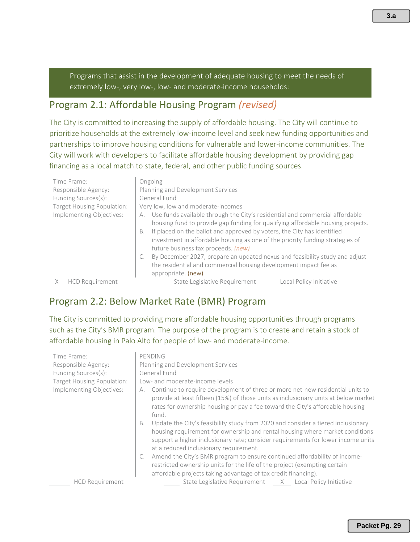Programs that assist in the development of adequate housing to meet the needs of extremely low-, very low-, low- and moderate-income households:

#### Program 2.1: Affordable Housing Program *(revised)*

The City is committed to increasing the supply of affordable housing. The City will continue to prioritize households at the extremely low-income level and seek new funding opportunities and partnerships to improve housing conditions for vulnerable and lower-income communities. The City will work with developers to facilitate affordable housing development by providing gap financing as a local match to state, federal, and other public funding sources.

| Time Frame:<br>Responsible Agency:<br>Funding Sources(s):<br>Target Housing Population:<br>Implementing Objectives: | Ongoing<br>Planning and Development Services<br>General Fund<br>Very low, low and moderate-incomes<br>Use funds available through the City's residential and commercial affordable<br>А.<br>housing fund to provide gap funding for qualifying affordable housing projects.<br>If placed on the ballot and approved by voters, the City has identified<br><b>B.</b><br>investment in affordable housing as one of the priority funding strategies of<br>future business tax proceeds. (new)<br>By December 2027, prepare an updated nexus and feasibility study and adjust<br>the residential and commercial housing development impact fee as<br>appropriate. (new) |
|---------------------------------------------------------------------------------------------------------------------|----------------------------------------------------------------------------------------------------------------------------------------------------------------------------------------------------------------------------------------------------------------------------------------------------------------------------------------------------------------------------------------------------------------------------------------------------------------------------------------------------------------------------------------------------------------------------------------------------------------------------------------------------------------------|
| <b>HCD Requirement</b>                                                                                              | State Legislative Requirement<br>Local Policy Initiative                                                                                                                                                                                                                                                                                                                                                                                                                                                                                                                                                                                                             |

## Program 2.2: Below Market Rate (BMR) Program

The City is committed to providing more affordable housing opportunities through programs such as the City's BMR program. The purpose of the program is to create and retain a stock of affordable housing in Palo Alto for people of low- and moderate-income.

| Time Frame:<br>Responsible Agency:<br>Funding Sources(s):<br>Target Housing Population:<br>Implementing Objectives: | PENDING<br>Planning and Development Services<br>General Fund<br>Low- and moderate-income levels<br>Continue to require development of three or more net-new residential units to<br>А.<br>provide at least fifteen (15%) of those units as inclusionary units at below market<br>rates for ownership housing or pay a fee toward the City's affordable housing<br>fund.<br>Update the City's feasibility study from 2020 and consider a tiered inclusionary<br>B.<br>housing requirement for ownership and rental housing where market conditions<br>support a higher inclusionary rate; consider requirements for lower income units<br>at a reduced inclusionary requirement.<br>Amend the City's BMR program to ensure continued affordability of income- |
|---------------------------------------------------------------------------------------------------------------------|--------------------------------------------------------------------------------------------------------------------------------------------------------------------------------------------------------------------------------------------------------------------------------------------------------------------------------------------------------------------------------------------------------------------------------------------------------------------------------------------------------------------------------------------------------------------------------------------------------------------------------------------------------------------------------------------------------------------------------------------------------------|
| <b>HCD Requirement</b>                                                                                              | restricted ownership units for the life of the project (exempting certain<br>affordable projects taking advantage of tax credit financing).<br>State Legislative Requirement X Local Policy Initiative                                                                                                                                                                                                                                                                                                                                                                                                                                                                                                                                                       |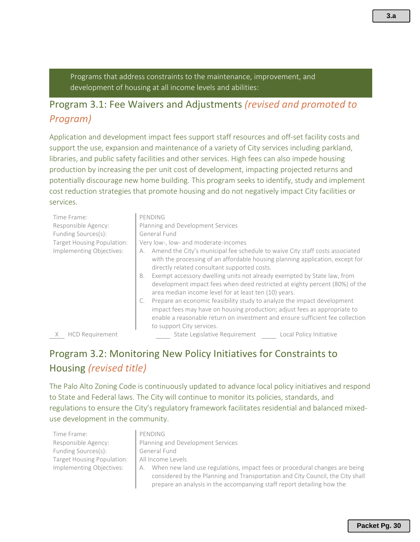Programs that address constraints to the maintenance, improvement, and development of housing at all income levels and abilities:

## Program 3.1: Fee Waivers and Adjustments *(revised and promoted to Program)*

Application and development impact fees support staff resources and off-set facility costs and support the use, expansion and maintenance of a variety of City services including parkland, libraries, and public safety facilities and other services. High fees can also impede housing production by increasing the per unit cost of development, impacting projected returns and potentially discourage new home building. This program seeks to identify, study and implement cost reduction strategies that promote housing and do not negatively impact City facilities or services.

| Time Frame:<br>Responsible Agency:<br>Funding Sources(s):<br>Target Housing Population: | PENDING<br>Planning and Development Services<br>General Fund<br>Very low-, low- and moderate-incomes                                                                                                                                                               |
|-----------------------------------------------------------------------------------------|--------------------------------------------------------------------------------------------------------------------------------------------------------------------------------------------------------------------------------------------------------------------|
| Implementing Objectives:                                                                | Amend the City's municipal fee schedule to waive City staff costs associated<br>А.<br>with the processing of an affordable housing planning application, except for<br>directly related consultant supported costs.                                                |
|                                                                                         | Exempt accessory dwelling units not already exempted by State law, from<br>В.<br>development impact fees when deed restricted at eighty percent (80%) of the<br>area median income level for at least ten (10) years.                                              |
|                                                                                         | Prepare an economic feasibility study to analyze the impact development<br>impact fees may have on housing production; adjust fees as appropriate to<br>enable a reasonable return on investment and ensure sufficient fee collection<br>to support City services. |

X HCD Requirement State Legislative Requirement Local Policy Initiative

prepare an analysis in the accompanying staff report detailing how the

## Program 3.2: Monitoring New Policy Initiatives for Constraints to Housing *(revised title)*

The Palo Alto Zoning Code is continuously updated to advance local policy initiatives and respond to State and Federal laws. The City will continue to monitor its policies, standards, and regulations to ensure the City's regulatory framework facilitates residential and balanced mixeduse development in the community.

| Time Frame:                | PENDING                                                                          |
|----------------------------|----------------------------------------------------------------------------------|
| Responsible Agency:        | Planning and Development Services                                                |
| Funding Sources(s):        | General Fund                                                                     |
| Target Housing Population: | All Income Levels                                                                |
| Implementing Objectives:   | When new land use regulations, impact fees or procedural changes are being<br>А. |
|                            | considered by the Planning and Transportation and City Council, the City shall   |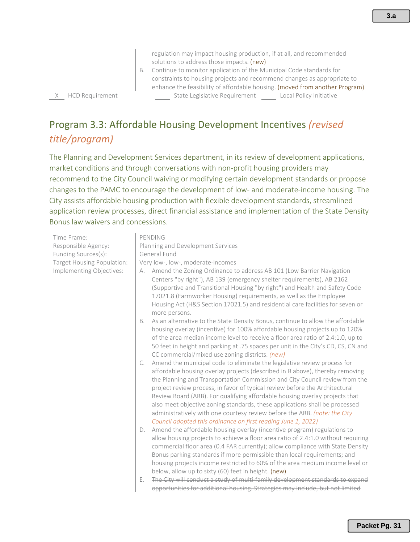**3.a**

regulation may impact housing production, if at all, and recommended solutions to address those impacts. (new)

B. Continue to monitor application of the Municipal Code standards for constraints to housing projects and recommend changes as appropriate to enhance the feasibility of affordable housing. (moved from another Program) X HCD Requirement State Legislative Requirement Local Policy Initiative

## Program 3.3: Affordable Housing Development Incentives *(revised title/program)*

The Planning and Development Services department, in its review of development applications, market conditions and through conversations with non-profit housing providers may recommend to the City Council waiving or modifying certain development standards or propose changes to the PAMC to encourage the development of low- and moderate-income housing. The City assists affordable housing production with flexible development standards, streamlined application review processes, direct financial assistance and implementation of the State Density Bonus law waivers and concessions.

Time Frame: PENDING Responsible Agency: Planning and Development Services Funding Sources(s): **General Fund** Target Housing Population: | Very low-, low-, moderate-incomes Implementing Objectives: | A. Amend the Zoning Ordinance to address AB 101 (Low Barrier Navigation Centers "by right"), AB 139 (emergency shelter requirements), AB 2162 (Supportive and Transitional Housing "by right") and Health and Safety Code 17021.8 (Farmworker Housing) requirements, as well as the Employee Housing Act (H&S Section 17021.5) and residential care facilities for seven or more persons. B. As an alternative to the State Density Bonus, continue to allow the affordable housing overlay (incentive) for 100% affordable housing projects up to 120% of the area median income level to receive a floor area ratio of 2.4:1.0, up to 50 feet in height and parking at .75 spaces per unit in the City's CD, CS, CN and CC commercial/mixed use zoning districts. *(new)* C. Amend the municipal code to eliminate the legislative review process for affordable housing overlay projects (described in B above), thereby removing the Planning and Transportation Commission and City Council review from the project review process, in favor of typical review before the Architectural Review Board (ARB). For qualifying affordable housing overlay projects that also meet objective zoning standards, these applications shall be processed administratively with one courtesy review before the ARB. *(note: the City Council adopted this ordinance on first reading June 1, 2022)* D. Amend the affordable housing overlay (incentive program) regulations to allow housing projects to achieve a floor area ratio of 2.4:1.0 without requiring commercial floor area (0.4 FAR currently); allow compliance with State Density Bonus parking standards if more permissible than local requirements; and housing projects income restricted to 60% of the area medium income level or below, allow up to sixty (60) feet in height. (new) E. The City will conduct a study of multi-family development standards to expand opportunities for additional housing. Strategies may include, but not limited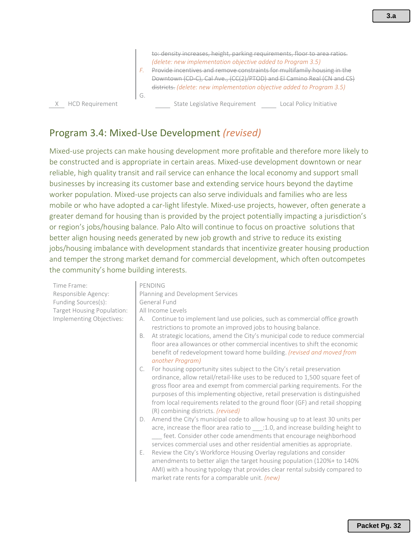Downtown (CD-C), Cal Ave., (CC(2)/PTOD) and El Camino Real (CN and CS) districts. *(delete: new implementation objective added to Program 3.5)* G.

X HCD Requirement State Legislative Requirement Local Policy Initiative

#### Program 3.4: Mixed-Use Development *(revised)*

Mixed-use projects can make housing development more profitable and therefore more likely to be constructed and is appropriate in certain areas. Mixed-use development downtown or near reliable, high quality transit and rail service can enhance the local economy and support small businesses by increasing its customer base and extending service hours beyond the daytime worker population. Mixed-use projects can also serve individuals and families who are less mobile or who have adopted a car-light lifestyle. Mixed-use projects, however, often generate a greater demand for housing than is provided by the project potentially impacting a jurisdiction's or region's jobs/housing balance. Palo Alto will continue to focus on proactive solutions that better align housing needs generated by new job growth and strive to reduce its existing jobs/housing imbalance with development standards that incentivize greater housing production and temper the strong market demand for commercial development, which often outcompetes the community's home building interests.

Time Frame: PENDING Responsible Agency: Planning and Development Services Funding Sources(s): General Fund Target Housing Population: | All Income Levels Implementing Objectives: A. Continue to implement land use policies, such as commercial office growth restrictions to promote an improved jobs to housing balance. B. At strategic locations, amend the City's municipal code to reduce commercial floor area allowances or other commercial incentives to shift the economic benefit of redevelopment toward home building. *(revised and moved from another Program)* C. For housing opportunity sites subject to the City's retail preservation ordinance, allow retail/retail-like uses to be reduced to 1,500 square feet of gross floor area and exempt from commercial parking requirements. For the purposes of this implementing objective, retail preservation is distinguished from local requirements related to the ground floor (GF) and retail shopping (R) combining districts. *(revised)* D. Amend the City's municipal code to allow housing up to at least 30 units per acre, increase the floor area ratio to :1.0, and increase building height to \_\_\_ feet. Consider other code amendments that encourage neighborhood services commercial uses and other residential amenities as appropriate. E. Review the City's Workforce Housing Overlay regulations and consider

amendments to better align the target housing population (120%+ to 140% AMI) with a housing typology that provides clear rental subsidy compared to market rate rents for a comparable unit. *(new)*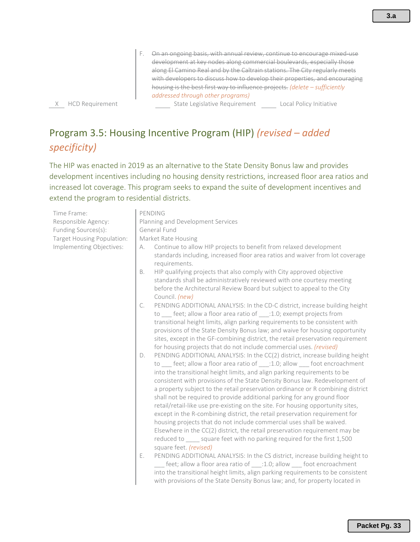F. On an ongoing basis, with annual review, continue to encourage mixed-use development at key nodes along commercial boulevards, especially those along El Camino Real and by the Caltrain stations. The City regularly meets with developers to discuss how to develop their properties, and encouraging housing is the best first way to influence projects. *(delete – sufficiently addressed through other programs)* 

X HCD Requirement State Legislative Requirement Local Policy Initiative

Program 3.5: Housing Incentive Program (HIP) *(revised – added specificity)*

The HIP was enacted in 2019 as an alternative to the State Density Bonus law and provides development incentives including no housing density restrictions, increased floor area ratios and increased lot coverage. This program seeks to expand the suite of development incentives and extend the program to residential districts.

| Time Frame:                | PENDING                                                                                                                                                                                                                                                                                                                                                                                                                                                                                                                                                                                                                                                                                                                                                                                                                                                                                                                         |  |  |
|----------------------------|---------------------------------------------------------------------------------------------------------------------------------------------------------------------------------------------------------------------------------------------------------------------------------------------------------------------------------------------------------------------------------------------------------------------------------------------------------------------------------------------------------------------------------------------------------------------------------------------------------------------------------------------------------------------------------------------------------------------------------------------------------------------------------------------------------------------------------------------------------------------------------------------------------------------------------|--|--|
| Responsible Agency:        | Planning and Development Services                                                                                                                                                                                                                                                                                                                                                                                                                                                                                                                                                                                                                                                                                                                                                                                                                                                                                               |  |  |
| Funding Sources(s):        | General Fund                                                                                                                                                                                                                                                                                                                                                                                                                                                                                                                                                                                                                                                                                                                                                                                                                                                                                                                    |  |  |
| Target Housing Population: | Market Rate Housing                                                                                                                                                                                                                                                                                                                                                                                                                                                                                                                                                                                                                                                                                                                                                                                                                                                                                                             |  |  |
| Implementing Objectives:   | Continue to allow HIP projects to benefit from relaxed development<br>А.<br>standards including, increased floor area ratios and waiver from lot coverage<br>requirements.                                                                                                                                                                                                                                                                                                                                                                                                                                                                                                                                                                                                                                                                                                                                                      |  |  |
|                            | HIP qualifying projects that also comply with City approved objective<br>B.<br>standards shall be administratively reviewed with one courtesy meeting<br>before the Architectural Review Board but subject to appeal to the City<br>Council. (new)                                                                                                                                                                                                                                                                                                                                                                                                                                                                                                                                                                                                                                                                              |  |  |
|                            | PENDING ADDITIONAL ANALYSIS: In the CD-C district, increase building height<br>C.<br>to __ feet; allow a floor area ratio of ___: 1.0; exempt projects from<br>transitional height limits, align parking requirements to be consistent with<br>provisions of the State Density Bonus law; and waive for housing opportunity<br>sites, except in the GF-combining district, the retail preservation requirement<br>for housing projects that do not include commercial uses. (revised)                                                                                                                                                                                                                                                                                                                                                                                                                                           |  |  |
|                            | PENDING ADDITIONAL ANALYSIS: In the CC(2) district, increase building height<br>D.<br>to ___ feet; allow a floor area ratio of ___:1.0; allow ___ foot encroachment<br>into the transitional height limits, and align parking requirements to be<br>consistent with provisions of the State Density Bonus law. Redevelopment of<br>a property subject to the retail preservation ordinance or R combining district<br>shall not be required to provide additional parking for any ground floor<br>retail/retail-like use pre-existing on the site. For housing opportunity sites,<br>except in the R-combining district, the retail preservation requirement for<br>housing projects that do not include commercial uses shall be waived.<br>Elsewhere in the CC(2) district, the retail preservation requirement may be<br>reduced to _____ square feet with no parking required for the first 1,500<br>square feet. (revised) |  |  |
|                            | Ε.<br>PENDING ADDITIONAL ANALYSIS: In the CS district, increase building height to<br>feet; allow a floor area ratio of ____: 1.0; allow ____ foot encroachment<br>into the transitional height limits, align parking requirements to be consistent<br>with provisions of the State Density Bonus law; and, for property located in                                                                                                                                                                                                                                                                                                                                                                                                                                                                                                                                                                                             |  |  |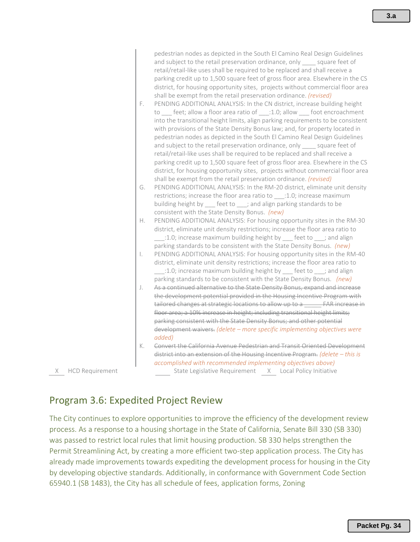| F.             | pedestrian nodes as depicted in the South El Camino Real Design Guidelines<br>and subject to the retail preservation ordinance, only _____ square feet of<br>retail/retail-like uses shall be required to be replaced and shall receive a<br>parking credit up to 1,500 square feet of gross floor area. Elsewhere in the CS<br>district, for housing opportunity sites, projects without commercial floor area<br>shall be exempt from the retail preservation ordinance. (revised)<br>PENDING ADDITIONAL ANALYSIS: In the CN district, increase building height<br>to ___ feet; allow a floor area ratio of ___:1.0; allow ___ foot encroachment<br>into the transitional height limits, align parking requirements to be consistent<br>with provisions of the State Density Bonus law; and, for property located in<br>pedestrian nodes as depicted in the South El Camino Real Design Guidelines |
|----------------|------------------------------------------------------------------------------------------------------------------------------------------------------------------------------------------------------------------------------------------------------------------------------------------------------------------------------------------------------------------------------------------------------------------------------------------------------------------------------------------------------------------------------------------------------------------------------------------------------------------------------------------------------------------------------------------------------------------------------------------------------------------------------------------------------------------------------------------------------------------------------------------------------|
|                | and subject to the retail preservation ordinance, only _____ square feet of<br>retail/retail-like uses shall be required to be replaced and shall receive a<br>parking credit up to 1,500 square feet of gross floor area. Elsewhere in the CS<br>district, for housing opportunity sites, projects without commercial floor area                                                                                                                                                                                                                                                                                                                                                                                                                                                                                                                                                                    |
| G.             | shall be exempt from the retail preservation ordinance. (revised)<br>PENDING ADDITIONAL ANALYSIS: In the RM-20 district, eliminate unit density                                                                                                                                                                                                                                                                                                                                                                                                                                                                                                                                                                                                                                                                                                                                                      |
|                | restrictions; increase the floor area ratio to ____: 1.0; increase maximum                                                                                                                                                                                                                                                                                                                                                                                                                                                                                                                                                                                                                                                                                                                                                                                                                           |
|                | building height by feet to ; and align parking standards to be<br>consistent with the State Density Bonus. (new)                                                                                                                                                                                                                                                                                                                                                                                                                                                                                                                                                                                                                                                                                                                                                                                     |
| Η.             | PENDING ADDITIONAL ANALYSIS: For housing opportunity sites in the RM-30<br>district, eliminate unit density restrictions; increase the floor area ratio to                                                                                                                                                                                                                                                                                                                                                                                                                                                                                                                                                                                                                                                                                                                                           |
|                | _:1.0; increase maximum building height by __ feet to __ ; and align<br>parking standards to be consistent with the State Density Bonus. (new)                                                                                                                                                                                                                                                                                                                                                                                                                                                                                                                                                                                                                                                                                                                                                       |
| $\overline{a}$ | PENDING ADDITIONAL ANALYSIS: For housing opportunity sites in the RM-40                                                                                                                                                                                                                                                                                                                                                                                                                                                                                                                                                                                                                                                                                                                                                                                                                              |
|                | district, eliminate unit density restrictions; increase the floor area ratio to                                                                                                                                                                                                                                                                                                                                                                                                                                                                                                                                                                                                                                                                                                                                                                                                                      |
|                | $\pm$ 1.0; increase maximum building height by $\quad$ feet to $\quad$ ; and align                                                                                                                                                                                                                                                                                                                                                                                                                                                                                                                                                                                                                                                                                                                                                                                                                   |
| J.             | parking standards to be consistent with the State Density Bonus. (new)<br>As a continued alternative to the State Density Bonus, expand and increase                                                                                                                                                                                                                                                                                                                                                                                                                                                                                                                                                                                                                                                                                                                                                 |
|                | the development potential provided in the Housing Incentive Program with                                                                                                                                                                                                                                                                                                                                                                                                                                                                                                                                                                                                                                                                                                                                                                                                                             |
|                | tailored changes at strategic locations to allow up to a FAR increase in                                                                                                                                                                                                                                                                                                                                                                                                                                                                                                                                                                                                                                                                                                                                                                                                                             |
|                | floor area; a 10% increase in height; including transitional height limits;                                                                                                                                                                                                                                                                                                                                                                                                                                                                                                                                                                                                                                                                                                                                                                                                                          |
|                | parking consistent with the State Density Bonus; and other potential                                                                                                                                                                                                                                                                                                                                                                                                                                                                                                                                                                                                                                                                                                                                                                                                                                 |
|                | development waivers. (delete - more specific implementing objectives were<br>added)                                                                                                                                                                                                                                                                                                                                                                                                                                                                                                                                                                                                                                                                                                                                                                                                                  |

K. Convert the California Avenue Pedestrian and Transit Oriented Development district into an extension of the Housing Incentive Program. *(delete – this is accomplished with recommended implementing objectives above)* X HCD Requirement State Legislative Requirement X Local Policy Initiative

## Program 3.6: Expedited Project Review

The City continues to explore opportunities to improve the efficiency of the development review process. As a response to a housing shortage in the State of California, Senate Bill 330 (SB 330) was passed to restrict local rules that limit housing production. SB 330 helps strengthen the Permit Streamlining Act, by creating a more efficient two-step application process. The City has already made improvements towards expediting the development process for housing in the City by developing objective standards. Additionally, in conformance with Government Code Section 65940.1 (SB 1483), the City has all schedule of fees, application forms, Zoning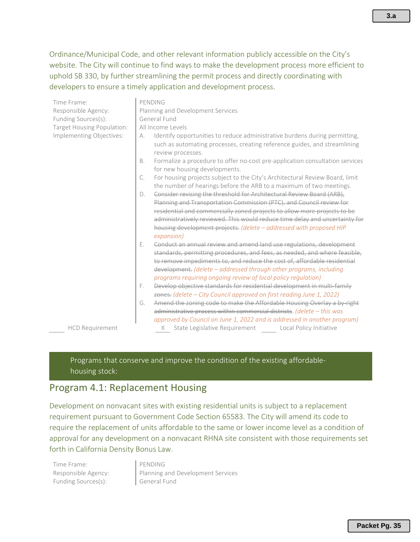Ordinance/Municipal Code, and other relevant information publicly accessible on the City's website. The City will continue to find ways to make the development process more efficient to uphold SB 330, by further streamlining the permit process and directly coordinating with developers to ensure a timely application and development process.

| Time Frame:                | PENDING                                                                                                                                                                                                                                                                                                                                                                                                                                                      |  |
|----------------------------|--------------------------------------------------------------------------------------------------------------------------------------------------------------------------------------------------------------------------------------------------------------------------------------------------------------------------------------------------------------------------------------------------------------------------------------------------------------|--|
| Responsible Agency:        | Planning and Development Services                                                                                                                                                                                                                                                                                                                                                                                                                            |  |
| Funding Sources(s):        | General Fund                                                                                                                                                                                                                                                                                                                                                                                                                                                 |  |
| Target Housing Population: | All Income Levels                                                                                                                                                                                                                                                                                                                                                                                                                                            |  |
| Implementing Objectives:   | Identify opportunities to reduce administrative burdens during permitting,<br>А.<br>such as automating processes, creating reference guides, and streamlining<br>review processes.                                                                                                                                                                                                                                                                           |  |
|                            | Formalize a procedure to offer no-cost pre-application consultation services<br>Β.<br>for new housing developments.                                                                                                                                                                                                                                                                                                                                          |  |
|                            | For housing projects subject to the City's Architectural Review Board, limit<br>C.<br>the number of hearings before the ARB to a maximum of two meetings.                                                                                                                                                                                                                                                                                                    |  |
|                            | Consider revising the threshold for Architectural Review Board (ARB),<br>D.<br>Planning and Transportation Commission (PTC), and Council review for<br>residential and commercially zoned projects to allow more projects to be<br>administratively reviewed. This would reduce time delay and uncertainty for<br>housing development projects. (delete - addressed with proposed HIP<br>expansion)                                                          |  |
|                            | Conduct an annual review and amend land use regulations, development<br>Е.<br>standards, permitting procedures, and fees, as needed, and where feasible,<br>to remove impediments to, and reduce the cost of, affordable residential<br>development. (delete - addressed through other programs, including<br>programs requiring ongoing review of local policy regulation)<br>Develop objective standards for residential development in multi-family<br>F. |  |
|                            | zones. (delete – City Council approved on first reading June 1, 2022)                                                                                                                                                                                                                                                                                                                                                                                        |  |
|                            | Amend the zoning code to make the Affordable Housing Overlay a by right<br>G.<br>administrative process within commercial districts. (delete - this was<br>approved by Council on June 1, 2022 and is addressed in another program)                                                                                                                                                                                                                          |  |
| <b>HCD Requirement</b>     | State Legislative Requirement Local Policy Initiative<br>X                                                                                                                                                                                                                                                                                                                                                                                                   |  |

Programs that conserve and improve the condition of the existing affordablehousing stock:

#### Program 4.1: Replacement Housing

Development on nonvacant sites with existing residential units is subject to a replacement requirement pursuant to Government Code Section 65583. The City will amend its code to require the replacement of units affordable to the same or lower income level as a condition of approval for any development on a nonvacant RHNA site consistent with those requirements set forth in California Density Bonus Law.

Time Frame: PENDING Funding Sources(s): General Fund

Responsible Agency: Planning and Development Services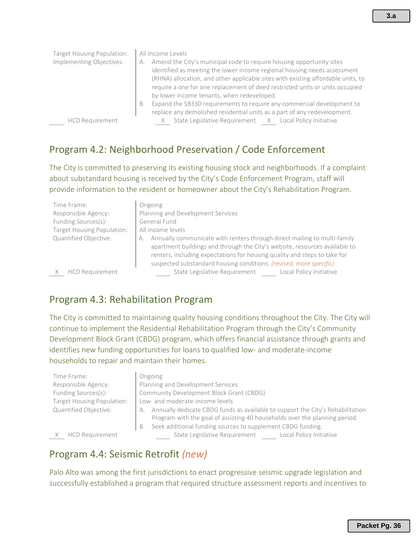| Target Housing Population:<br>Implementing Objectives: | All Income Levels<br>Amend the City's municipal code to require housing opportunity sites<br>А.<br>identified as meeting the lower income regional housing needs assessment<br>(RHNA) allocation, and other applicable sites with existing affordable units, to<br>require a one for one replacement of deed restricted units or units occupied<br>by lower income tenants, when redeveloped.<br>Expand the SB330 requirements to require any commercial development to<br>В.<br>replace any demolished residential units as a part of any redevelopment. |
|--------------------------------------------------------|-----------------------------------------------------------------------------------------------------------------------------------------------------------------------------------------------------------------------------------------------------------------------------------------------------------------------------------------------------------------------------------------------------------------------------------------------------------------------------------------------------------------------------------------------------------|
| <b>HCD Requirement</b>                                 | State Legislative Requirement X Local Policy Initiative                                                                                                                                                                                                                                                                                                                                                                                                                                                                                                   |

## Program 4.2: Neighborhood Preservation / Code Enforcement

The City is committed to preserving its existing housing stock and neighborhoods. If a complaint about substandard housing is received by the City's Code Enforcement Program, staff will provide information to the resident or homeowner about the City's Rehabilitation Program.

| Time Frame:<br>Responsible Agency:<br>Funding Sources(s):<br>Target Housing Population:<br>Quantified Objective: | Ongoing<br>Planning and Development Services<br>General Fund<br>All income levels<br>Annually communicate with renters through direct mailing to multi-family<br>А.<br>apartment buildings and through the City's website, resources available to |
|------------------------------------------------------------------------------------------------------------------|---------------------------------------------------------------------------------------------------------------------------------------------------------------------------------------------------------------------------------------------------|
|                                                                                                                  | renters, including expectations for housing quality and steps to take for<br>suspected substandard housing conditions. (revised, more specific)                                                                                                   |
| <b>HCD Requirement</b>                                                                                           | State Legislative Requirement<br>Local Policy Initiative                                                                                                                                                                                          |

## Program 4.3: Rehabilitation Program

The City is committed to maintaining quality housing conditions throughout the City. The City will continue to implement the Residential Rehabilitation Program through the City's Community Development Block Grant (CBDG) program, which offers financial assistance through grants and identifies new funding opportunities for loans to qualified low- and moderate-income households to repair and maintain their homes.

| Time Frame:                |
|----------------------------|
| Responsible Agency:        |
| Funding Sources(s):        |
| Target Housing Population: |
| Quantified Objective:      |

#### **Ongoing**

Planning and Development Services Community Development Block Grant (CBDG) Low- and moderate-income levels A. Annually dedicate CBDG funds as available to support the City's Rehabilitation Program with the goal of assisting 40 households over the planning period. B. Seek additional funding sources to supplement CBDG funding.

X HCD Requirement State Legislative Requirement Local Policy Initiative

Program 4.4: Seismic Retrofit *(new)*

Palo Alto was among the first jurisdictions to enact progressive seismic upgrade legislation and successfully established a program that required structure assessment reports and incentives to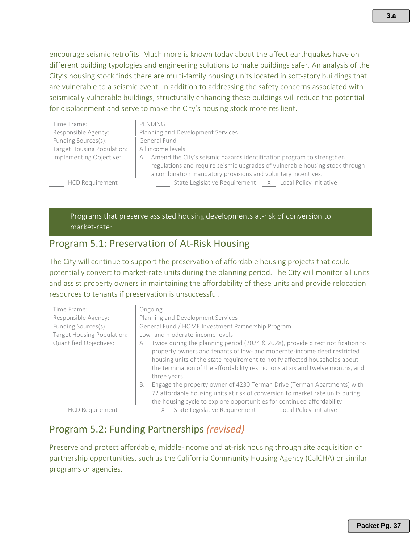encourage seismic retrofits. Much more is known today about the affect earthquakes have on different building typologies and engineering solutions to make buildings safer. An analysis of the City's housing stock finds there are multi-family housing units located in soft-story buildings that are vulnerable to a seismic event. In addition to addressing the safety concerns associated with seismically vulnerable buildings, structurally enhancing these buildings will reduce the potential for displacement and serve to make the City's housing stock more resilient.

| Time Frame:                | PENDING                                                                                                                                                  |  |
|----------------------------|----------------------------------------------------------------------------------------------------------------------------------------------------------|--|
| Responsible Agency:        | Planning and Development Services                                                                                                                        |  |
| Funding Sources(s):        | General Fund                                                                                                                                             |  |
| Target Housing Population: | All income levels                                                                                                                                        |  |
| Implementing Objective:    | A. Amend the City's seismic hazards identification program to strengthen<br>regulations and require seismic upgrades of vulnerable housing stock through |  |
|                            | a combination mandatory provisions and voluntary incentives.                                                                                             |  |
| <b>HCD Requirement</b>     | State Legislative Requirement X Local Policy Initiative                                                                                                  |  |

Programs that preserve assisted housing developments at-risk of conversion to market-rate:

#### Program 5.1: Preservation of At-Risk Housing

The City will continue to support the preservation of affordable housing projects that could potentially convert to market-rate units during the planning period. The City will monitor all units and assist property owners in maintaining the affordability of these units and provide relocation resources to tenants if preservation is unsuccessful.

| Time Frame:<br>Responsible Agency:<br>Funding Sources(s):<br>Target Housing Population:<br>Quantified Objectives: | Ongoing<br>Planning and Development Services<br>General Fund / HOME Investment Partnership Program<br>Low- and moderate-income levels<br>Twice during the planning period (2024 & 2028), provide direct notification to<br>А.<br>property owners and tenants of low- and moderate-income deed restricted<br>housing units of the state requirement to notify affected households about<br>the termination of the affordability restrictions at six and twelve months, and<br>three years. |
|-------------------------------------------------------------------------------------------------------------------|-------------------------------------------------------------------------------------------------------------------------------------------------------------------------------------------------------------------------------------------------------------------------------------------------------------------------------------------------------------------------------------------------------------------------------------------------------------------------------------------|
| <b>HCD Requirement</b>                                                                                            | Engage the property owner of 4230 Terman Drive (Terman Apartments) with<br>B.<br>72 affordable housing units at risk of conversion to market rate units during<br>the housing cycle to explore opportunities for continued affordability.<br>State Legislative Requirement<br>Local Policy Initiative                                                                                                                                                                                     |

#### Program 5.2: Funding Partnerships *(revised)*

Preserve and protect affordable, middle-income and at-risk housing through site acquisition or partnership opportunities, such as the California Community Housing Agency (CalCHA) or similar programs or agencies.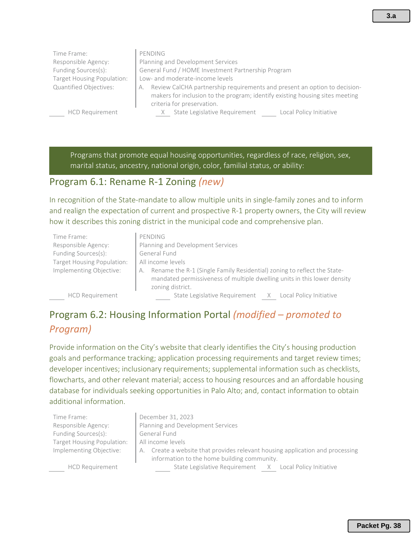Time Frame: PENDING Responsible Agency: Planning and Development Services Funding Sources(s): General Fund / HOME Investment Partnership Program Target Housing Population: | Low- and moderate-income levels Quantified Objectives: **A.** Review CalCHA partnership requirements and present an option to decisionmakers for inclusion to the program; identify existing housing sites meeting criteria for preservation. HCD Requirement **X** State Legislative Requirement Local Policy Initiative

Programs that promote equal housing opportunities, regardless of race, religion, sex, marital status, ancestry, national origin, color, familial status, or ability:

#### Program 6.1: Rename R-1 Zoning *(new)*

In recognition of the State-mandate to allow multiple units in single-family zones and to inform and realign the expectation of current and prospective R-1 property owners, the City will review how it describes this zoning district in the municipal code and comprehensive plan.

| Time Frame:                | PENDING                                                                                                                                                                       |  |  |
|----------------------------|-------------------------------------------------------------------------------------------------------------------------------------------------------------------------------|--|--|
| Responsible Agency:        | Planning and Development Services                                                                                                                                             |  |  |
| Funding Sources(s):        | General Fund                                                                                                                                                                  |  |  |
| Target Housing Population: | All income levels                                                                                                                                                             |  |  |
| Implementing Objective:    | Rename the R-1 (Single Family Residential) zoning to reflect the State-<br>А.<br>mandated permissiveness of multiple dwelling units in this lower density<br>zoning district. |  |  |
| <b>HCD Requirement</b>     | State Legislative Requirement X Local Policy Initiative                                                                                                                       |  |  |

Program 6.2: Housing Information Portal *(modified – promoted to* 

## *Program)*

Provide information on the City's website that clearly identifies the City's housing production goals and performance tracking; application processing requirements and target review times; developer incentives; inclusionary requirements; supplemental information such as checklists, flowcharts, and other relevant material; access to housing resources and an affordable housing database for individuals seeking opportunities in Palo Alto; and, contact information to obtain additional information.

Time Frame: **December 31, 2023** Responsible Agency: Planning and Development Services Funding Sources(s): General Fund Target Housing Population: | All income levels

Implementing Objective: A. Create a website that provides relevant housing application and processing information to the home building community. HCD Requirement State Legislative Requirement X Local Policy Initiative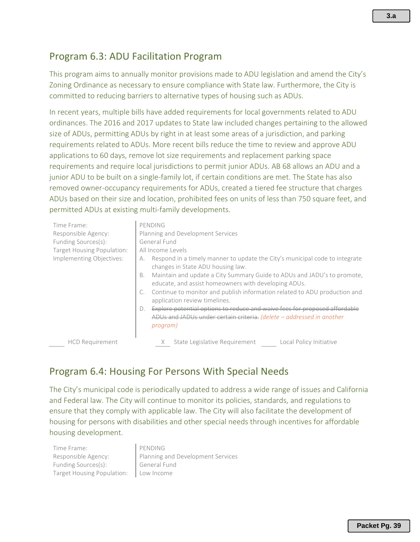## Program 6.3: ADU Facilitation Program

This program aims to annually monitor provisions made to ADU legislation and amend the City's Zoning Ordinance as necessary to ensure compliance with State law. Furthermore, the City is committed to reducing barriers to alternative types of housing such as ADUs.

In recent years, multiple bills have added requirements for local governments related to ADU ordinances. The 2016 and 2017 updates to State law included changes pertaining to the allowed size of ADUs, permitting ADUs by right in at least some areas of a jurisdiction, and parking requirements related to ADUs. More recent bills reduce the time to review and approve ADU applications to 60 days, remove lot size requirements and replacement parking space requirements and require local jurisdictions to permit junior ADUs. AB 68 allows an ADU and a junior ADU to be built on a single-family lot, if certain conditions are met. The State has also removed owner-occupancy requirements for ADUs, created a tiered fee structure that charges ADUs based on their size and location, prohibited fees on units of less than 750 square feet, and permitted ADUs at existing multi-family developments.

| Time Frame:<br>Responsible Agency:<br>Funding Sources(s):<br>Target Housing Population:<br>Implementing Objectives: | PENDING<br>Planning and Development Services<br>General Fund<br>All Income Levels<br>Respond in a timely manner to update the City's municipal code to integrate<br>А.<br>changes in State ADU housing law.<br>Maintain and update a City Summary Guide to ADUs and JADU's to promote,<br>В.<br>educate, and assist homeowners with developing ADUs.<br>Continue to monitor and publish information related to ADU production and<br>C.<br>application review timelines.<br>Explore potential options to reduce and waive fees for proposed affordable<br>$D$ .<br>ADUs and JADUs under certain criteria. (delete - addressed in another<br>program) |
|---------------------------------------------------------------------------------------------------------------------|------------------------------------------------------------------------------------------------------------------------------------------------------------------------------------------------------------------------------------------------------------------------------------------------------------------------------------------------------------------------------------------------------------------------------------------------------------------------------------------------------------------------------------------------------------------------------------------------------------------------------------------------------|
| <b>HCD Requirement</b>                                                                                              | State Legislative Requirement<br>Local Policy Initiative<br>X                                                                                                                                                                                                                                                                                                                                                                                                                                                                                                                                                                                        |

## Program 6.4: Housing For Persons With Special Needs

The City's municipal code is periodically updated to address a wide range of issues and California and Federal law. The City will continue to monitor its policies, standards, and regulations to ensure that they comply with applicable law. The City will also facilitate the development of housing for persons with disabilities and other special needs through incentives for affordable housing development.

| Time Frame:                             | PENDING                           |
|-----------------------------------------|-----------------------------------|
| Responsible Agency:                     | Planning and Development Services |
| Funding Sources(s):                     | General Fund                      |
| Target Housing Population:   Low Income |                                   |
|                                         |                                   |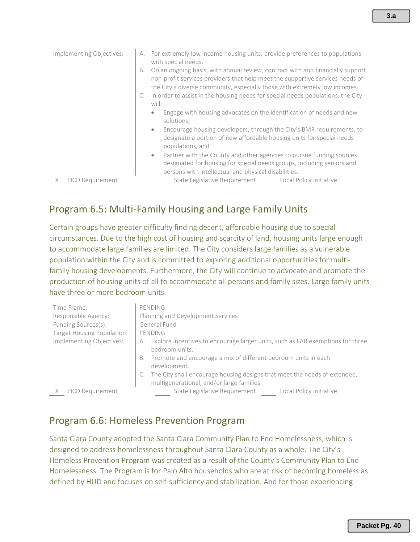| Implementing Objectives:    | A. For extremely low income housing units, provide preferences to populations<br>with special needs.                                                                                                                                                |
|-----------------------------|-----------------------------------------------------------------------------------------------------------------------------------------------------------------------------------------------------------------------------------------------------|
|                             | On an ongoing basis, with annual review, contract with and financially support<br>В.<br>non-profit services providers that help meet the supportive services needs of<br>the City's diverse community, especially those with extremely low incomes. |
|                             | C. In order to assist in the housing needs for special needs populations, the City<br>will:                                                                                                                                                         |
|                             | Engage with housing advocates on the identification of needs and new<br>۰<br>solutions,                                                                                                                                                             |
|                             | Encourage housing developers, through the City's BMR requirements, to<br>$\bullet$<br>designate a portion of new affordable housing units for special needs<br>populations, and                                                                     |
|                             | Partner with the County and other agencies to pursue funding sources<br>$\bullet$<br>designated for housing for special needs groups, including seniors and<br>persons with intellectual and physical disabilities.                                 |
| <b>HCD Requirement</b><br>X | State Legislative Requirement<br>Local Policy Initiative                                                                                                                                                                                            |

## Program 6.5: Multi-Family Housing and Large Family Units

Certain groups have greater difficulty finding decent, affordable housing due to special circumstances. Due to the high cost of housing and scarcity of land, housing units large enough to accommodate large families are limited. The City considers large families as a vulnerable population within the City and is committed to exploring additional opportunities for multifamily housing developments. Furthermore, the City will continue to advocate and promote the production of housing units of all to accommodate all persons and family sizes. Large family units have three or more bedroom units.

| Time Frame:                | PENDING                                                                                                                |
|----------------------------|------------------------------------------------------------------------------------------------------------------------|
| Responsible Agency:        | Planning and Development Services                                                                                      |
| Funding Sources(s):        | General Fund                                                                                                           |
| Target Housing Population: | PENDING                                                                                                                |
| Implementing Objectives:   | Explore incentives to encourage larger units, such as FAR exemptions for three<br>bedroom units.                       |
|                            | B. Promote and encourage a mix of different bedroom units in each<br>development.                                      |
|                            | The City shall encourage housing designs that meet the needs of extended,<br>multigenerational, and/or large families. |
| <b>HCD Requirement</b>     | State Legislative Requirement<br>Local Policy Initiative                                                               |

#### Program 6.6: Homeless Prevention Program

Santa Clara County adopted the Santa Clara Community Plan to End Homelessness, which is designed to address homelessness throughout Santa Clara County as a whole. The City's Homeless Prevention Program was created as a result of the County's Community Plan to End Homelessness. The Program is for Palo Alto households who are at risk of becoming homeless as defined by HUD and focuses on self-sufficiency and stabilization. And for those experiencing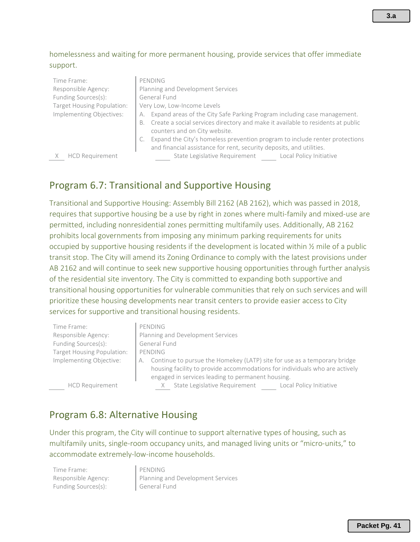#### homelessness and waiting for more permanent housing, provide services that offer immediate support.

| Time Frame:                | PENDING                                                                               |
|----------------------------|---------------------------------------------------------------------------------------|
| Responsible Agency:        | Planning and Development Services                                                     |
| Funding Sources(s):        | General Fund                                                                          |
| Target Housing Population: | Very Low, Low-Income Levels                                                           |
| Implementing Objectives:   | Expand areas of the City Safe Parking Program including case management.<br>А.        |
|                            | Create a social services directory and make it available to residents at public<br>В. |
|                            | counters and on City website.                                                         |
|                            | Expand the City's homeless prevention program to include renter protections           |
|                            | and financial assistance for rent, security deposits, and utilities.                  |
| <b>HCD Requirement</b>     | State Legislative Requirement<br>Local Policy Initiative                              |

#### Program 6.7: Transitional and Supportive Housing

Transitional and Supportive Housing: Assembly Bill 2162 (AB 2162), which was passed in 2018, requires that supportive housing be a use by right in zones where multi-family and mixed-use are permitted, including nonresidential zones permitting multifamily uses. Additionally, AB 2162 prohibits local governments from imposing any minimum parking requirements for units occupied by supportive housing residents if the development is located within ½ mile of a public transit stop. The City will amend its Zoning Ordinance to comply with the latest provisions under AB 2162 and will continue to seek new supportive housing opportunities through further analysis of the residential site inventory. The City is committed to expanding both supportive and transitional housing opportunities for vulnerable communities that rely on such services and will prioritize these housing developments near transit centers to provide easier access to City services for supportive and transitional housing residents.

| Time Frame:                | PENDING                                                                        |
|----------------------------|--------------------------------------------------------------------------------|
| Responsible Agency:        | Planning and Development Services                                              |
| Funding Sources(s):        | General Fund                                                                   |
| Target Housing Population: | PENDING                                                                        |
| Implementing Objective:    | Continue to pursue the Homekey (LATP) site for use as a temporary bridge<br>А. |
|                            | housing facility to provide accommodations for individuals who are actively    |
|                            | engaged in services leading to permanent housing.                              |

HCD Requirement

| State Legislative Requirement | Local Policy Initiative |
|-------------------------------|-------------------------|
|-------------------------------|-------------------------|

#### Program 6.8: Alternative Housing

Under this program, the City will continue to support alternative types of housing, such as multifamily units, single-room occupancy units, and managed living units or "micro-units," to accommodate extremely-low-income households.

Time Frame: PENDING Funding Sources(s): **General Fund** 

Responsible Agency: **Planning and Development Services**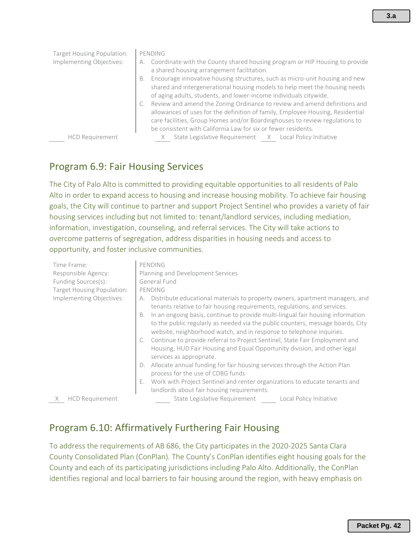| Target Housing Population: | PENDING                                                                                                                                                                                                                                                                                                     |
|----------------------------|-------------------------------------------------------------------------------------------------------------------------------------------------------------------------------------------------------------------------------------------------------------------------------------------------------------|
| Implementing Objectives:   | A. Coordinate with the County shared housing program or HIP Housing to provide<br>a shared housing arrangement facilitation.                                                                                                                                                                                |
|                            | Encourage innovative housing structures, such as micro-unit housing and new<br>В.<br>shared and intergenerational housing models to help meet the housing needs<br>of aging adults, students, and lower-income individuals citywide.                                                                        |
|                            | Review and amend the Zoning Ordinance to review and amend definitions and<br>allowances of uses for the definition of family, Employee Housing, Residential<br>care facilities, Group Homes and/or Boardinghouses to review regulations to<br>be consistent with California Law for six or fewer residents. |
| <b>HCD Requirement</b>     | State Legislative Requirement X Local Policy Initiative                                                                                                                                                                                                                                                     |

## Program 6.9: Fair Housing Services

The City of Palo Alto is committed to providing equitable opportunities to all residents of Palo Alto in order to expand access to housing and increase housing mobility. To achieve fair housing goals, the City will continue to partner and support Project Sentinel who provides a variety of fair housing services including but not limited to: tenant/landlord services, including mediation, information, investigation, counseling, and referral services. The City will take actions to overcome patterns of segregation, address disparities in housing needs and access to opportunity, and foster inclusive communities.

| Time Frame:                 | PENDING                                                                               |
|-----------------------------|---------------------------------------------------------------------------------------|
| Responsible Agency:         | Planning and Development Services                                                     |
| Funding Sources(s):         | General Fund                                                                          |
| Target Housing Population:  | PENDING                                                                               |
| Implementing Objectives:    | Distribute educational materials to property owners, apartment managers, and<br>А.    |
|                             | tenants relative to fair housing requirements, regulations, and services.             |
|                             | In an ongoing basis, continue to provide multi-lingual fair housing information<br>В. |
|                             | to the public regularly as needed via the public counters, message boards, City       |
|                             | website, neighborhood watch, and in response to telephone inquiries.                  |
|                             | C. Continue to provide referral to Project Sentinel, State Fair Employment and        |
|                             | Housing, HUD Fair Housing and Equal Opportunity division, and other legal             |
|                             | services as appropriate.                                                              |
|                             | Allocate annual funding for fair housing services through the Action Plan<br>D.       |
|                             | process for the use of CDBG funds                                                     |
|                             | Work with Project Sentinel and renter organizations to educate tenants and<br>Е.      |
|                             | landlords about fair housing requirements.                                            |
| <b>HCD Requirement</b><br>X | State Legislative Requirement<br>Local Policy Initiative                              |

## Program 6.10: Affirmatively Furthering Fair Housing

To address the requirements of AB 686, the City participates in the 2020-2025 Santa Clara County Consolidated Plan (ConPlan). The County's ConPlan identifies eight housing goals for the County and each of its participating jurisdictions including Palo Alto. Additionally, the ConPlan identifies regional and local barriers to fair housing around the region, with heavy emphasis on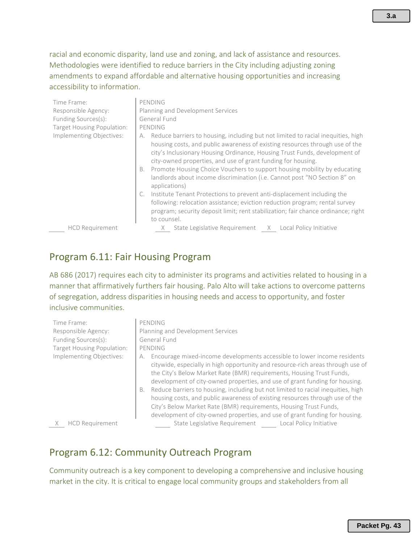racial and economic disparity, land use and zoning, and lack of assistance and resources. Methodologies were identified to reduce barriers in the City including adjusting zoning amendments to expand affordable and alternative housing opportunities and increasing accessibility to information.

| Time Frame:                | PENDING                                                                                                                                                                                                                                                                                                                                                                                                                                                                                              |
|----------------------------|------------------------------------------------------------------------------------------------------------------------------------------------------------------------------------------------------------------------------------------------------------------------------------------------------------------------------------------------------------------------------------------------------------------------------------------------------------------------------------------------------|
| Responsible Agency:        | Planning and Development Services                                                                                                                                                                                                                                                                                                                                                                                                                                                                    |
| Funding Sources(s):        | General Fund                                                                                                                                                                                                                                                                                                                                                                                                                                                                                         |
| Target Housing Population: | PENDING                                                                                                                                                                                                                                                                                                                                                                                                                                                                                              |
| Implementing Objectives:   | Reduce barriers to housing, including but not limited to racial inequities, high<br>А.<br>housing costs, and public awareness of existing resources through use of the<br>city's Inclusionary Housing Ordinance, Housing Trust Funds, development of<br>city-owned properties, and use of grant funding for housing.<br>Promote Housing Choice Vouchers to support housing mobility by educating<br>В.<br>landlords about income discrimination (i.e. Cannot post "NO Section 8" on<br>applications) |
|                            | Institute Tenant Protections to prevent anti-displacement including the<br>C.<br>following: relocation assistance; eviction reduction program; rental survey<br>program; security deposit limit; rent stabilization; fair chance ordinance; right<br>to counsel.                                                                                                                                                                                                                                     |
| <b>HCD Requirement</b>     | State Legislative Requirement X Local Policy Initiative                                                                                                                                                                                                                                                                                                                                                                                                                                              |

#### Program 6.11: Fair Housing Program

AB 686 (2017) requires each city to administer its programs and activities related to housing in a manner that affirmatively furthers fair housing. Palo Alto will take actions to overcome patterns of segregation, address disparities in housing needs and access to opportunity, and foster inclusive communities.

| Time Frame:                | PENDING                                                                                                                                                                                                                                                                                                                                                                                                                                                                                                                                                                                                                                                 |
|----------------------------|---------------------------------------------------------------------------------------------------------------------------------------------------------------------------------------------------------------------------------------------------------------------------------------------------------------------------------------------------------------------------------------------------------------------------------------------------------------------------------------------------------------------------------------------------------------------------------------------------------------------------------------------------------|
| Responsible Agency:        | Planning and Development Services                                                                                                                                                                                                                                                                                                                                                                                                                                                                                                                                                                                                                       |
| Funding Sources(s):        | General Fund                                                                                                                                                                                                                                                                                                                                                                                                                                                                                                                                                                                                                                            |
| Target Housing Population: | PENDING                                                                                                                                                                                                                                                                                                                                                                                                                                                                                                                                                                                                                                                 |
| Implementing Objectives:   | Encourage mixed-income developments accessible to lower income residents<br>А.<br>citywide, especially in high opportunity and resource-rich areas through use of<br>the City's Below Market Rate (BMR) requirements, Housing Trust Funds,<br>development of city-owned properties, and use of grant funding for housing.<br>Reduce barriers to housing, including but not limited to racial inequities, high<br>В.<br>housing costs, and public awareness of existing resources through use of the<br>City's Below Market Rate (BMR) requirements, Housing Trust Funds,<br>development of city-owned properties, and use of grant funding for housing. |
| <b>HCD Requirement</b>     | State Legislative Requirement<br>Local Policy Initiative                                                                                                                                                                                                                                                                                                                                                                                                                                                                                                                                                                                                |

## Program 6.12: Community Outreach Program

Community outreach is a key component to developing a comprehensive and inclusive housing market in the city. It is critical to engage local community groups and stakeholders from all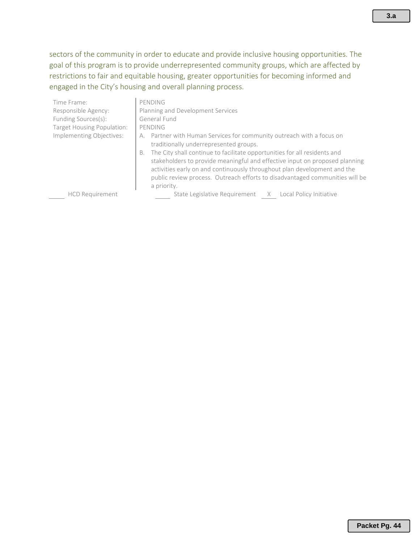sectors of the community in order to educate and provide inclusive housing opportunities. The goal of this program is to provide underrepresented community groups, which are affected by restrictions to fair and equitable housing, greater opportunities for becoming informed and engaged in the City's housing and overall planning process.

| Time Frame:                | PENDING                                                                                                                                                                                                                                                                                                                                                                                                                                                         |
|----------------------------|-----------------------------------------------------------------------------------------------------------------------------------------------------------------------------------------------------------------------------------------------------------------------------------------------------------------------------------------------------------------------------------------------------------------------------------------------------------------|
| Responsible Agency:        | Planning and Development Services                                                                                                                                                                                                                                                                                                                                                                                                                               |
| Funding Sources(s):        | General Fund                                                                                                                                                                                                                                                                                                                                                                                                                                                    |
| Target Housing Population: | PENDING                                                                                                                                                                                                                                                                                                                                                                                                                                                         |
| Implementing Objectives:   | Partner with Human Services for community outreach with a focus on<br>А.<br>traditionally underrepresented groups.<br>The City shall continue to facilitate opportunities for all residents and<br>В.<br>stakeholders to provide meaningful and effective input on proposed planning<br>activities early on and continuously throughout plan development and the<br>public review process. Outreach efforts to disadvantaged communities will be<br>a priority. |
| <b>HCD Requirement</b>     | State Legislative Requirement X Local Policy Initiative                                                                                                                                                                                                                                                                                                                                                                                                         |
|                            |                                                                                                                                                                                                                                                                                                                                                                                                                                                                 |